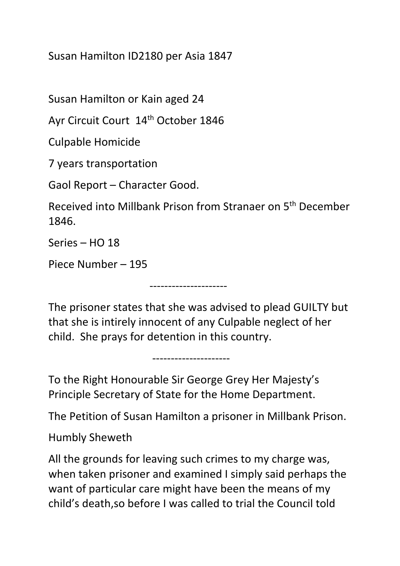Susan Hamilton ID2180 per Asia 1847

Susan Hamilton or Kain aged 24

Ayr Circuit Court 14th October 1846

Culpable Homicide

7 years transportation

Gaol Report – Character Good.

Received into Millbank Prison from Stranaer on 5th December 1846.

Series – HO 18

Piece Number – 195

The prisoner states that she was advised to plead GUILTY but that she is intirely innocent of any Culpable neglect of her child. She prays for detention in this country.

---------------------

---------------------

To the Right Honourable Sir George Grey Her Majesty's Principle Secretary of State for the Home Department.

The Petition of Susan Hamilton a prisoner in Millbank Prison.

Humbly Sheweth

All the grounds for leaving such crimes to my charge was, when taken prisoner and examined I simply said perhaps the want of particular care might have been the means of my child's death,so before I was called to trial the Council told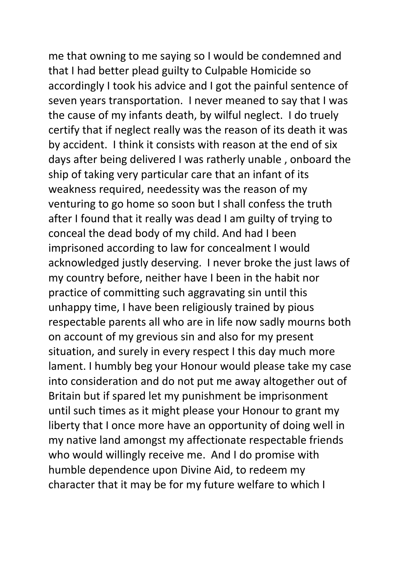me that owning to me saying so I would be condemned and that I had better plead guilty to Culpable Homicide so accordingly I took his advice and I got the painful sentence of seven years transportation. I never meaned to say that I was the cause of my infants death, by wilful neglect. I do truely certify that if neglect really was the reason of its death it was by accident. I think it consists with reason at the end of six days after being delivered I was ratherly unable , onboard the ship of taking very particular care that an infant of its weakness required, needessity was the reason of my venturing to go home so soon but I shall confess the truth after I found that it really was dead I am guilty of trying to conceal the dead body of my child. And had I been imprisoned according to law for concealment I would acknowledged justly deserving. I never broke the just laws of my country before, neither have I been in the habit nor practice of committing such aggravating sin until this unhappy time, I have been religiously trained by pious respectable parents all who are in life now sadly mourns both on account of my grevious sin and also for my present situation, and surely in every respect I this day much more lament. I humbly beg your Honour would please take my case into consideration and do not put me away altogether out of Britain but if spared let my punishment be imprisonment until such times as it might please your Honour to grant my liberty that I once more have an opportunity of doing well in my native land amongst my affectionate respectable friends who would willingly receive me. And I do promise with humble dependence upon Divine Aid, to redeem my character that it may be for my future welfare to which I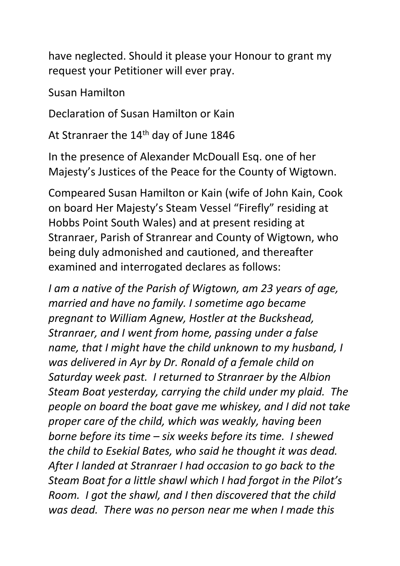have neglected. Should it please your Honour to grant my request your Petitioner will ever pray.

Susan Hamilton

Declaration of Susan Hamilton or Kain

At Stranraer the 14<sup>th</sup> day of June 1846

In the presence of Alexander McDouall Esq. one of her Majesty's Justices of the Peace for the County of Wigtown.

Compeared Susan Hamilton or Kain (wife of John Kain, Cook on board Her Majesty's Steam Vessel "Firefly" residing at Hobbs Point South Wales) and at present residing at Stranraer, Parish of Stranrear and County of Wigtown, who being duly admonished and cautioned, and thereafter examined and interrogated declares as follows:

*I am a native of the Parish of Wigtown, am 23 years of age, married and have no family. I sometime ago became pregnant to William Agnew, Hostler at the Buckshead, Stranraer, and I went from home, passing under a false name, that I might have the child unknown to my husband, I was delivered in Ayr by Dr. Ronald of a female child on Saturday week past. I returned to Stranraer by the Albion Steam Boat yesterday, carrying the child under my plaid. The people on board the boat gave me whiskey, and I did not take proper care of the child, which was weakly, having been borne before its time – six weeks before its time. I shewed the child to Esekial Bates, who said he thought it was dead. After I landed at Stranraer I had occasion to go back to the Steam Boat for a little shawl which I had forgot in the Pilot's Room. I got the shawl, and I then discovered that the child was dead. There was no person near me when I made this*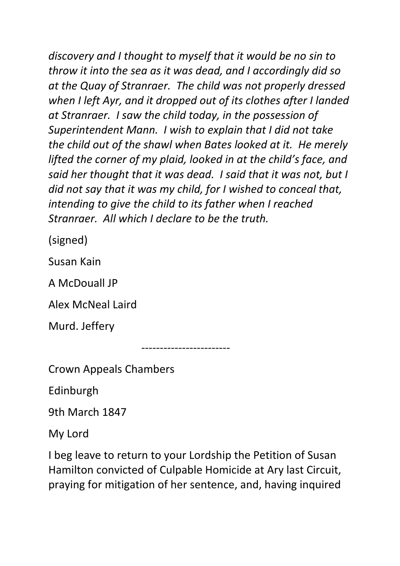*discovery and I thought to myself that it would be no sin to throw it into the sea as it was dead, and I accordingly did so at the Quay of Stranraer. The child was not properly dressed when I left Ayr, and it dropped out of its clothes after I landed at Stranraer. I saw the child today, in the possession of Superintendent Mann. I wish to explain that I did not take the child out of the shawl when Bates looked at it. He merely lifted the corner of my plaid, looked in at the child's face, and said her thought that it was dead. I said that it was not, but I did not say that it was my child, for I wished to conceal that, intending to give the child to its father when I reached Stranraer. All which I declare to be the truth.*

(signed)

Susan Kain

A McDouall JP

Alex McNeal Laird

Murd. Jeffery

------------------------

Crown Appeals Chambers

Edinburgh

9th March 1847

My Lord

I beg leave to return to your Lordship the Petition of Susan Hamilton convicted of Culpable Homicide at Ary last Circuit, praying for mitigation of her sentence, and, having inquired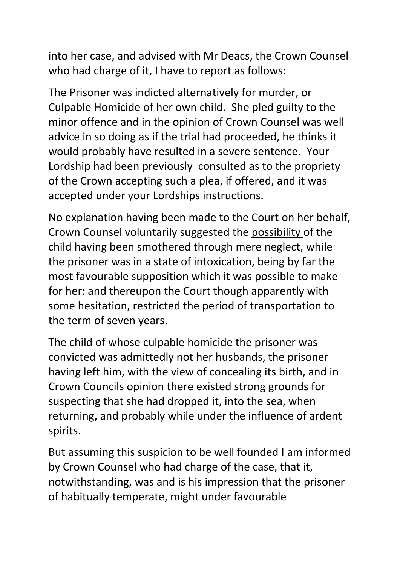into her case, and advised with Mr Deacs, the Crown Counsel who had charge of it, I have to report as follows:

The Prisoner was indicted alternatively for murder, or Culpable Homicide of her own child. She pled guilty to the minor offence and in the opinion of Crown Counsel was well advice in so doing as if the trial had proceeded, he thinks it would probably have resulted in a severe sentence. Your Lordship had been previously consulted as to the propriety of the Crown accepting such a plea, if offered, and it was accepted under your Lordships instructions.

No explanation having been made to the Court on her behalf, Crown Counsel voluntarily suggested the possibility of the child having been smothered through mere neglect, while the prisoner was in a state of intoxication, being by far the most favourable supposition which it was possible to make for her: and thereupon the Court though apparently with some hesitation, restricted the period of transportation to the term of seven years.

The child of whose culpable homicide the prisoner was convicted was admittedly not her husbands, the prisoner having left him, with the view of concealing its birth, and in Crown Councils opinion there existed strong grounds for suspecting that she had dropped it, into the sea, when returning, and probably while under the influence of ardent spirits.

But assuming this suspicion to be well founded I am informed by Crown Counsel who had charge of the case, that it, notwithstanding, was and is his impression that the prisoner of habitually temperate, might under favourable